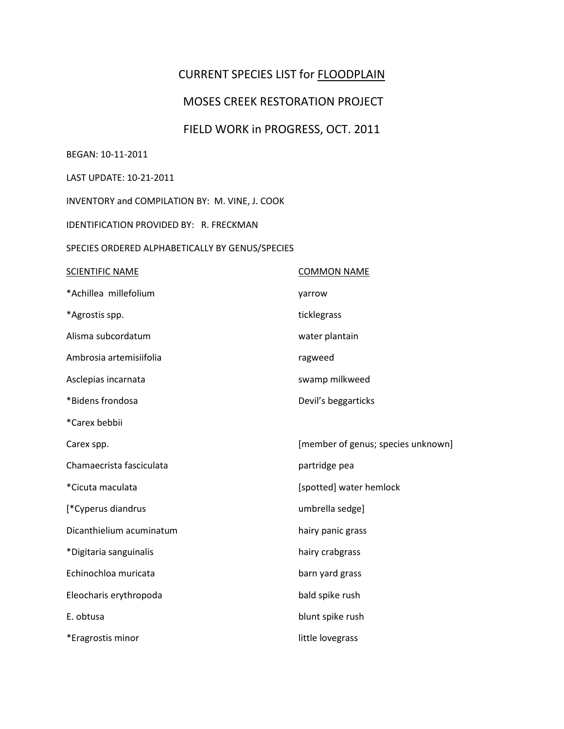## CURRENT SPECIES LIST for FLOODPLAIN

## MOSES CREEK RESTORATION PROJECT

# FIELD WORK in PROGRESS, OCT. 2011

#### BEGAN: 10-11-2011

### LAST UPDATE: 10-21-2011

INVENTORY and COMPILATION BY: M. VINE, J. COOK

IDENTIFICATION PROVIDED BY: R. FRECKMAN

#### SPECIES ORDERED ALPHABETICALLY BY GENUS/SPECIES

| <b>SCIENTIFIC NAME</b>   | <b>COMMON NAME</b>                 |
|--------------------------|------------------------------------|
| *Achillea millefolium    | yarrow                             |
| *Agrostis spp.           | ticklegrass                        |
| Alisma subcordatum       | water plantain                     |
| Ambrosia artemisiifolia  | ragweed                            |
| Asclepias incarnata      | swamp milkweed                     |
| *Bidens frondosa         | Devil's beggarticks                |
| *Carex bebbii            |                                    |
| Carex spp.               | [member of genus; species unknown] |
| Chamaecrista fasciculata | partridge pea                      |
| *Cicuta maculata         | [spotted] water hemlock            |
| [*Cyperus diandrus       | umbrella sedge]                    |
| Dicanthielium acuminatum | hairy panic grass                  |
| *Digitaria sanguinalis   | hairy crabgrass                    |
| Echinochloa muricata     | barn yard grass                    |
| Eleocharis erythropoda   | bald spike rush                    |
| E. obtusa                | blunt spike rush                   |
| *Eragrostis minor        | little lovegrass                   |